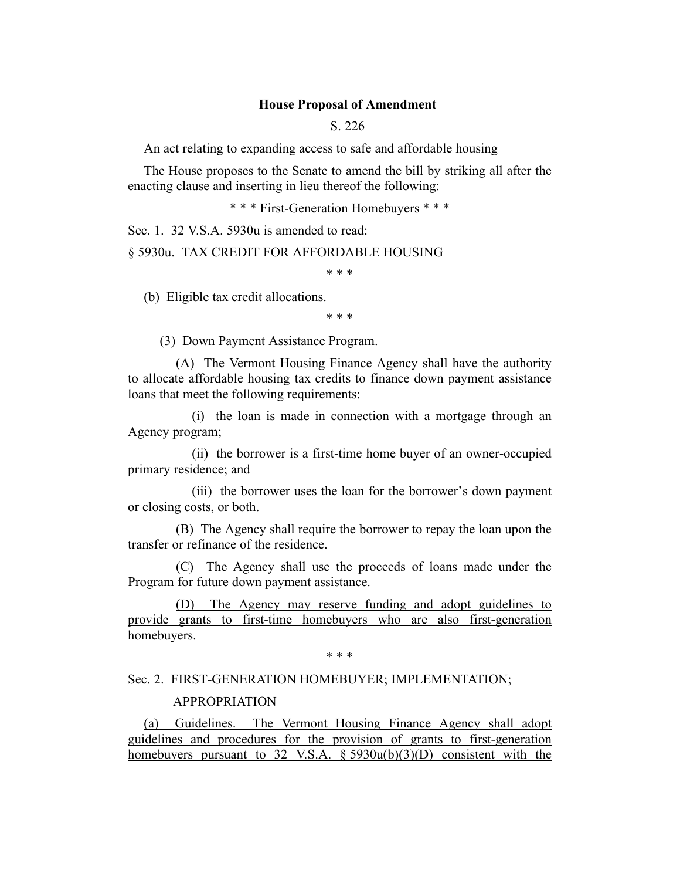## **House Proposal of Amendment**

S. 226

An act relating to expanding access to safe and affordable housing

The House proposes to the Senate to amend the bill by striking all after the enacting clause and inserting in lieu thereof the following:

\* \* \* First-Generation Homebuyers \* \* \*

Sec. 1. 32 V.S.A. 5930u is amended to read:

§ 5930u. TAX CREDIT FOR AFFORDABLE HOUSING

\* \* \*

(b) Eligible tax credit allocations.

\* \* \*

(3) Down Payment Assistance Program.

(A) The Vermont Housing Finance Agency shall have the authority to allocate affordable housing tax credits to finance down payment assistance loans that meet the following requirements:

(i) the loan is made in connection with a mortgage through an Agency program;

(ii) the borrower is a first-time home buyer of an owner-occupied primary residence; and

(iii) the borrower uses the loan for the borrower's down payment or closing costs, or both.

(B) The Agency shall require the borrower to repay the loan upon the transfer or refinance of the residence.

(C) The Agency shall use the proceeds of loans made under the Program for future down payment assistance.

(D) The Agency may reserve funding and adopt guidelines to provide grants to first-time homebuyers who are also first-generation homebuyers.

\* \* \*

## Sec. 2. FIRST-GENERATION HOMEBUYER; IMPLEMENTATION;

#### APPROPRIATION

(a) Guidelines. The Vermont Housing Finance Agency shall adopt guidelines and procedures for the provision of grants to first-generation homebuyers pursuant to 32 V.S.A.  $\S 5930u(b)(3)(D)$  consistent with the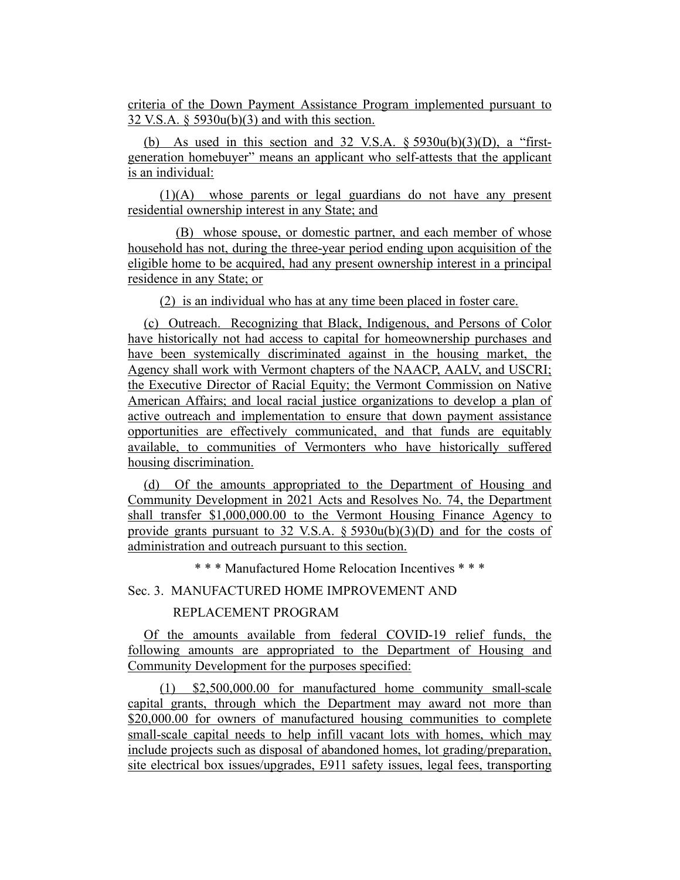criteria of the Down Payment Assistance Program implemented pursuant to 32 V.S.A. § 5930u(b)(3) and with this section.

(b) As used in this section and 32 V.S.A.  $\S$  5930u(b)(3)(D), a "firstgeneration homebuyer" means an applicant who self-attests that the applicant is an individual:

(1)(A) whose parents or legal guardians do not have any present residential ownership interest in any State; and

(B) whose spouse, or domestic partner, and each member of whose household has not, during the three-year period ending upon acquisition of the eligible home to be acquired, had any present ownership interest in a principal residence in any State; or

(2) is an individual who has at any time been placed in foster care.

(c) Outreach. Recognizing that Black, Indigenous, and Persons of Color have historically not had access to capital for homeownership purchases and have been systemically discriminated against in the housing market, the Agency shall work with Vermont chapters of the NAACP, AALV, and USCRI; the Executive Director of Racial Equity; the Vermont Commission on Native American Affairs; and local racial justice organizations to develop a plan of active outreach and implementation to ensure that down payment assistance opportunities are effectively communicated, and that funds are equitably available, to communities of Vermonters who have historically suffered housing discrimination.

(d) Of the amounts appropriated to the Department of Housing and Community Development in 2021 Acts and Resolves No. 74, the Department shall transfer \$1,000,000.00 to the Vermont Housing Finance Agency to provide grants pursuant to 32 V.S.A.  $\S$  5930u(b)(3)(D) and for the costs of administration and outreach pursuant to this section.

\* \* \* Manufactured Home Relocation Incentives \* \* \*

Sec. 3. MANUFACTURED HOME IMPROVEMENT AND

# REPLACEMENT PROGRAM

Of the amounts available from federal COVID-19 relief funds, the following amounts are appropriated to the Department of Housing and Community Development for the purposes specified:

(1) \$2,500,000.00 for manufactured home community small-scale capital grants, through which the Department may award not more than \$20,000.00 for owners of manufactured housing communities to complete small-scale capital needs to help infill vacant lots with homes, which may include projects such as disposal of abandoned homes, lot grading/preparation, site electrical box issues/upgrades, E911 safety issues, legal fees, transporting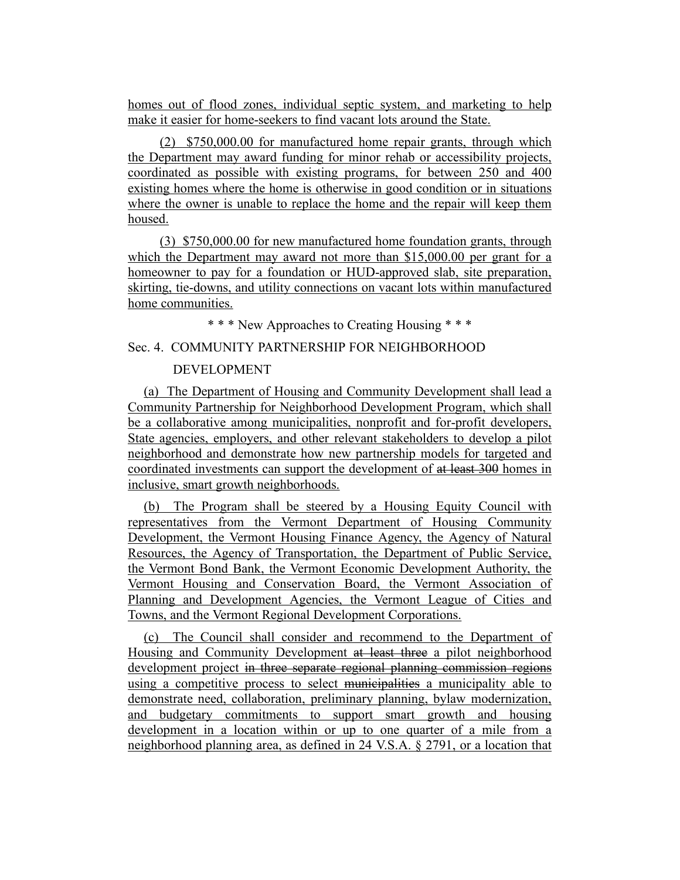homes out of flood zones, individual septic system, and marketing to help make it easier for home-seekers to find vacant lots around the State.

(2) \$750,000.00 for manufactured home repair grants, through which the Department may award funding for minor rehab or accessibility projects, coordinated as possible with existing programs, for between 250 and 400 existing homes where the home is otherwise in good condition or in situations where the owner is unable to replace the home and the repair will keep them housed.

(3) \$750,000.00 for new manufactured home foundation grants, through which the Department may award not more than \$15,000.00 per grant for a homeowner to pay for a foundation or HUD-approved slab, site preparation, skirting, tie-downs, and utility connections on vacant lots within manufactured home communities.

\* \* \* New Approaches to Creating Housing \* \* \*

# Sec. 4. COMMUNITY PARTNERSHIP FOR NEIGHBORHOOD

# DEVELOPMENT

(a) The Department of Housing and Community Development shall lead a Community Partnership for Neighborhood Development Program, which shall be a collaborative among municipalities, nonprofit and for-profit developers, State agencies, employers, and other relevant stakeholders to develop a pilot neighborhood and demonstrate how new partnership models for targeted and coordinated investments can support the development of at least 300 homes in inclusive, smart growth neighborhoods.

(b) The Program shall be steered by a Housing Equity Council with representatives from the Vermont Department of Housing Community Development, the Vermont Housing Finance Agency, the Agency of Natural Resources, the Agency of Transportation, the Department of Public Service, the Vermont Bond Bank, the Vermont Economic Development Authority, the Vermont Housing and Conservation Board, the Vermont Association of Planning and Development Agencies, the Vermont League of Cities and Towns, and the Vermont Regional Development Corporations.

(c) The Council shall consider and recommend to the Department of Housing and Community Development at least three a pilot neighborhood development project in three separate regional planning commission regions using a competitive process to select municipalities a municipality able to demonstrate need, collaboration, preliminary planning, bylaw modernization, and budgetary commitments to support smart growth and housing development in a location within or up to one quarter of a mile from a neighborhood planning area, as defined in 24 V.S.A. § 2791, or a location that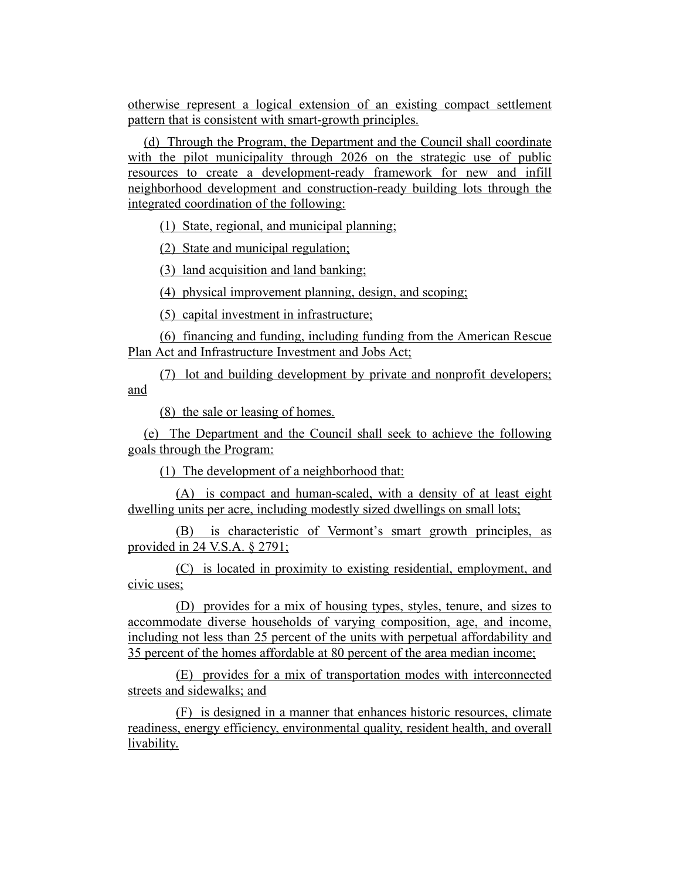otherwise represent a logical extension of an existing compact settlement pattern that is consistent with smart-growth principles.

(d) Through the Program, the Department and the Council shall coordinate with the pilot municipality through 2026 on the strategic use of public resources to create a development-ready framework for new and infill neighborhood development and construction-ready building lots through the integrated coordination of the following:

(1) State, regional, and municipal planning;

(2) State and municipal regulation;

(3) land acquisition and land banking;

(4) physical improvement planning, design, and scoping;

(5) capital investment in infrastructure;

(6) financing and funding, including funding from the American Rescue Plan Act and Infrastructure Investment and Jobs Act;

(7) lot and building development by private and nonprofit developers; and

(8) the sale or leasing of homes.

(e) The Department and the Council shall seek to achieve the following goals through the Program:

(1) The development of a neighborhood that:

(A) is compact and human-scaled, with a density of at least eight dwelling units per acre, including modestly sized dwellings on small lots;

(B) is characteristic of Vermont's smart growth principles, as provided in 24 V.S.A. § 2791;

(C) is located in proximity to existing residential, employment, and civic uses;

(D) provides for a mix of housing types, styles, tenure, and sizes to accommodate diverse households of varying composition, age, and income, including not less than 25 percent of the units with perpetual affordability and 35 percent of the homes affordable at 80 percent of the area median income;

(E) provides for a mix of transportation modes with interconnected streets and sidewalks; and

(F) is designed in a manner that enhances historic resources, climate readiness, energy efficiency, environmental quality, resident health, and overall livability.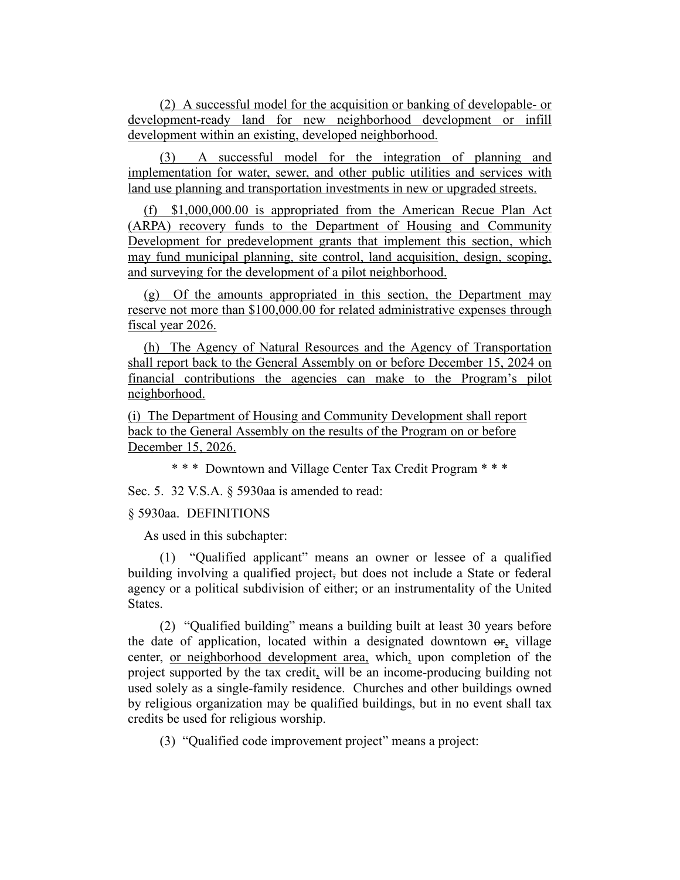(2) A successful model for the acquisition or banking of developable- or development-ready land for new neighborhood development or infill development within an existing, developed neighborhood.

(3) A successful model for the integration of planning and implementation for water, sewer, and other public utilities and services with land use planning and transportation investments in new or upgraded streets.

(f) \$1,000,000.00 is appropriated from the American Recue Plan Act (ARPA) recovery funds to the Department of Housing and Community Development for predevelopment grants that implement this section, which may fund municipal planning, site control, land acquisition, design, scoping, and surveying for the development of a pilot neighborhood.

(g) Of the amounts appropriated in this section, the Department may reserve not more than \$100,000.00 for related administrative expenses through fiscal year 2026.

(h) The Agency of Natural Resources and the Agency of Transportation shall report back to the General Assembly on or before December 15, 2024 on financial contributions the agencies can make to the Program's pilot neighborhood.

(i) The Department of Housing and Community Development shall report back to the General Assembly on the results of the Program on or before December 15, 2026.

\* \* \* Downtown and Village Center Tax Credit Program \* \* \*

Sec. 5. 32 V.S.A. § 5930aa is amended to read:

## § 5930aa. DEFINITIONS

As used in this subchapter:

(1) "Qualified applicant" means an owner or lessee of a qualified building involving a qualified project, but does not include a State or federal agency or a political subdivision of either; or an instrumentality of the United States.

(2) "Qualified building" means a building built at least 30 years before the date of application, located within a designated downtown or, village center, or neighborhood development area, which, upon completion of the project supported by the tax credit, will be an income-producing building not used solely as a single-family residence. Churches and other buildings owned by religious organization may be qualified buildings, but in no event shall tax credits be used for religious worship.

(3) "Qualified code improvement project" means a project: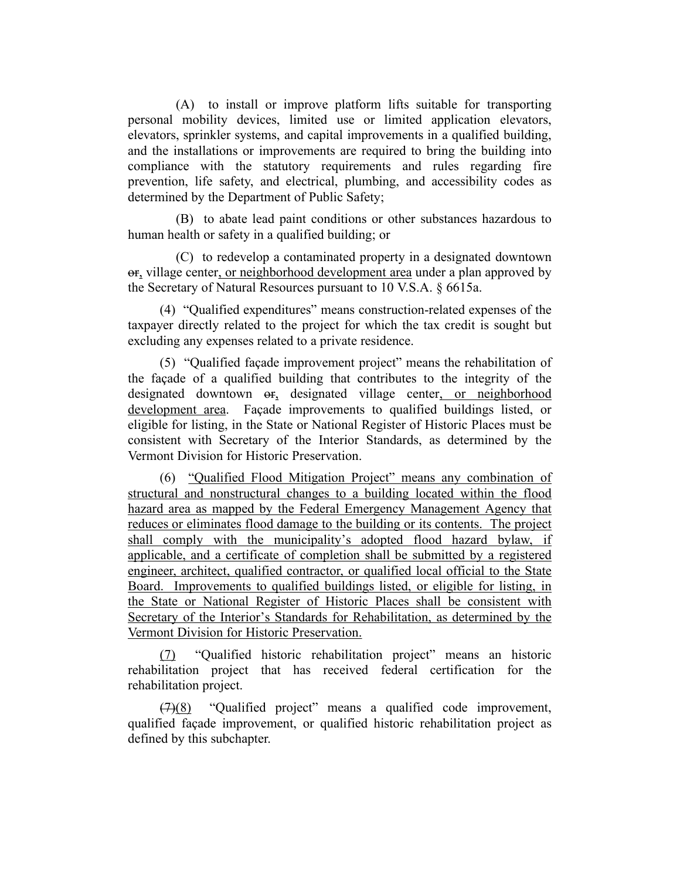(A) to install or improve platform lifts suitable for transporting personal mobility devices, limited use or limited application elevators, elevators, sprinkler systems, and capital improvements in a qualified building, and the installations or improvements are required to bring the building into compliance with the statutory requirements and rules regarding fire prevention, life safety, and electrical, plumbing, and accessibility codes as determined by the Department of Public Safety;

(B) to abate lead paint conditions or other substances hazardous to human health or safety in a qualified building; or

(C) to redevelop a contaminated property in a designated downtown or, village center, or neighborhood development area under a plan approved by the Secretary of Natural Resources pursuant to 10 V.S.A. § 6615a.

(4) "Qualified expenditures" means construction-related expenses of the taxpayer directly related to the project for which the tax credit is sought but excluding any expenses related to a private residence.

(5) "Qualified façade improvement project" means the rehabilitation of the façade of a qualified building that contributes to the integrity of the designated downtown or, designated village center, or neighborhood development area. Façade improvements to qualified buildings listed, or eligible for listing, in the State or National Register of Historic Places must be consistent with Secretary of the Interior Standards, as determined by the Vermont Division for Historic Preservation.

(6) "Qualified Flood Mitigation Project" means any combination of structural and nonstructural changes to a building located within the flood hazard area as mapped by the Federal Emergency Management Agency that reduces or eliminates flood damage to the building or its contents. The project shall comply with the municipality's adopted flood hazard bylaw, if applicable, and a certificate of completion shall be submitted by a registered engineer, architect, qualified contractor, or qualified local official to the State Board. Improvements to qualified buildings listed, or eligible for listing, in the State or National Register of Historic Places shall be consistent with Secretary of the Interior's Standards for Rehabilitation, as determined by the Vermont Division for Historic Preservation.

(7) "Qualified historic rehabilitation project" means an historic rehabilitation project that has received federal certification for the rehabilitation project.

 $(7)(8)$  "Qualified project" means a qualified code improvement, qualified façade improvement, or qualified historic rehabilitation project as defined by this subchapter.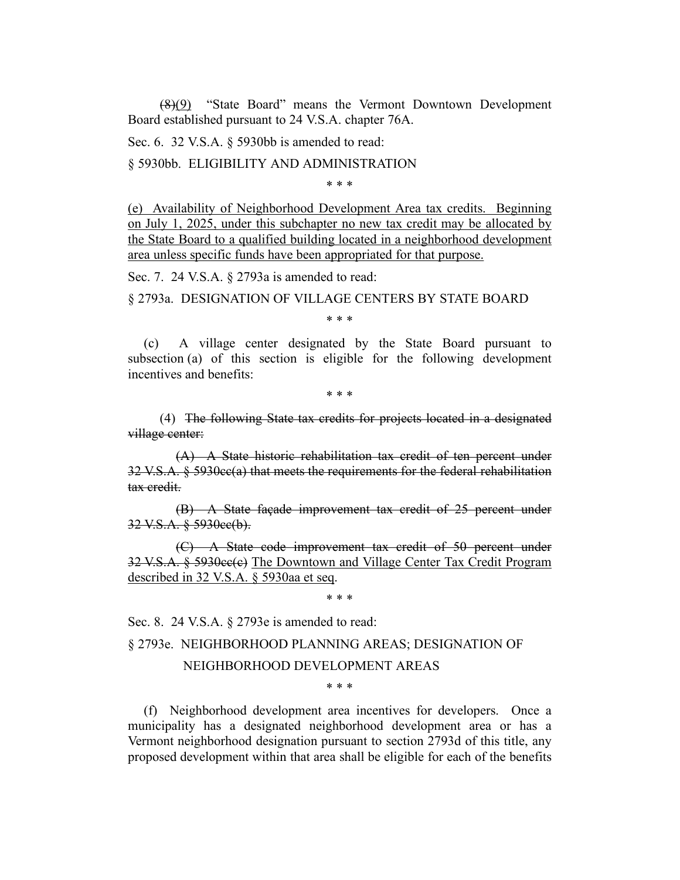(8)(9) "State Board" means the Vermont Downtown Development Board established pursuant to 24 V.S.A. chapter 76A.

Sec. 6. 32 V.S.A. § 5930bb is amended to read:

§ 5930bb. ELIGIBILITY AND ADMINISTRATION

\* \* \*

(e) Availability of Neighborhood Development Area tax credits. Beginning on July 1, 2025, under this subchapter no new tax credit may be allocated by the State Board to a qualified building located in a neighborhood development area unless specific funds have been appropriated for that purpose.

Sec. 7. 24 V.S.A. § 2793a is amended to read:

§ 2793a. DESIGNATION OF VILLAGE CENTERS BY STATE BOARD

\* \* \*

(c) A village center designated by the State Board pursuant to subsection (a) of this section is eligible for the following development incentives and benefits:

\* \* \*

(4) The following State tax credits for projects located in a designated village center:

(A) A State historic rehabilitation tax credit of ten percent under 32 V.S.A. § 5930cc(a) that meets the requirements for the federal rehabilitation tax credit.

(B) A State façade improvement tax credit of 25 percent under 32 V.S.A. § 5930cc(b).

(C) A State code improvement tax credit of 50 percent under 32 V.S.A. § 5930cc(c) The Downtown and Village Center Tax Credit Program described in 32 V.S.A. § 5930aa et seq.

\* \* \*

Sec. 8. 24 V.S.A. § 2793e is amended to read:

§ 2793e. NEIGHBORHOOD PLANNING AREAS; DESIGNATION OF

## NEIGHBORHOOD DEVELOPMENT AREAS

\* \* \*

(f) Neighborhood development area incentives for developers. Once a municipality has a designated neighborhood development area or has a Vermont neighborhood designation pursuant to section 2793d of this title, any proposed development within that area shall be eligible for each of the benefits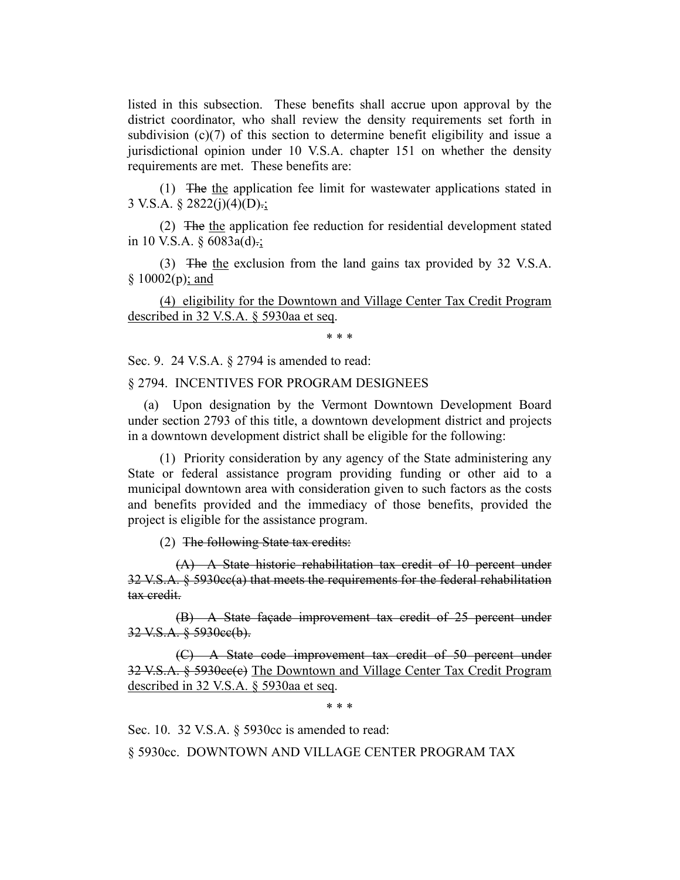listed in this subsection. These benefits shall accrue upon approval by the district coordinator, who shall review the density requirements set forth in subdivision (c)(7) of this section to determine benefit eligibility and issue a jurisdictional opinion under 10 V.S.A. chapter 151 on whether the density requirements are met. These benefits are:

(1) The the application fee limit for wastewater applications stated in 3 V.S.A.  $\S 2822(i)(4)(D)$ .;

(2) The the application fee reduction for residential development stated in 10 V.S.A.  $\S$  6083a(d).;

(3) The the exclusion from the land gains tax provided by 32 V.S.A.  $§ 10002(p); and$ 

(4) eligibility for the Downtown and Village Center Tax Credit Program described in 32 V.S.A. § 5930aa et seq.

\* \* \*

Sec. 9. 24 V.S.A. § 2794 is amended to read:

## § 2794. INCENTIVES FOR PROGRAM DESIGNEES

(a) Upon designation by the Vermont Downtown Development Board under section 2793 of this title, a downtown development district and projects in a downtown development district shall be eligible for the following:

(1) Priority consideration by any agency of the State administering any State or federal assistance program providing funding or other aid to a municipal downtown area with consideration given to such factors as the costs and benefits provided and the immediacy of those benefits, provided the project is eligible for the assistance program.

(2) The following State tax credits:

(A) A State historic rehabilitation tax credit of 10 percent under  $32 \text{ V.S.A. }$  §  $5930 \text{e}$  $\epsilon$ (a) that meets the requirements for the federal rehabilitation tax credit.

(B) A State façade improvement tax credit of 25 percent under 32 V.S.A. § 5930cc(b).

(C) A State code improvement tax credit of 50 percent under 32 V.S.A. § 5930ce(e) The Downtown and Village Center Tax Credit Program described in 32 V.S.A. § 5930aa et seq.

\* \* \*

Sec. 10. 32 V.S.A. § 5930cc is amended to read:

§ 5930cc. DOWNTOWN AND VILLAGE CENTER PROGRAM TAX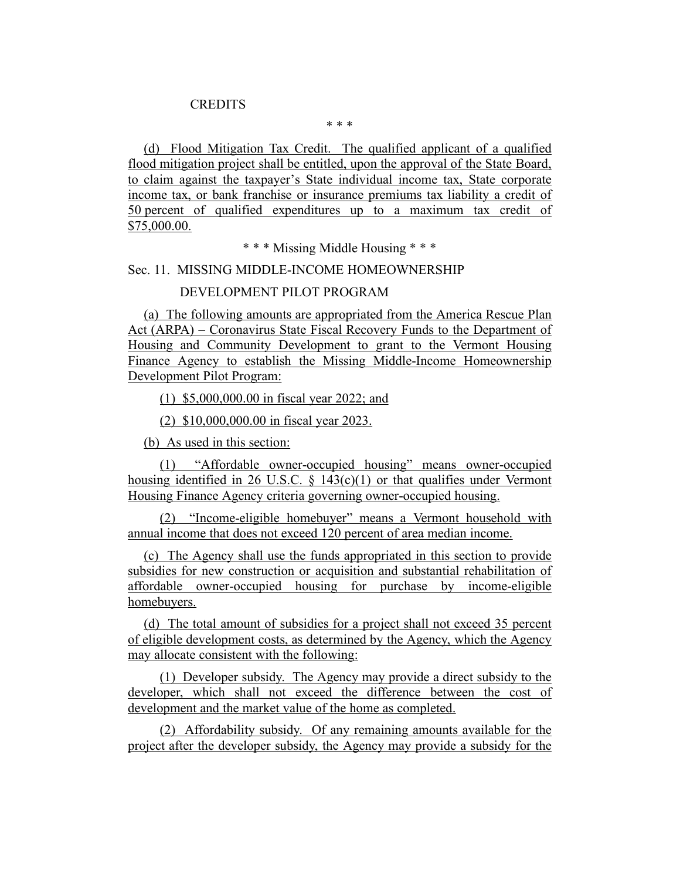## **CREDITS**

\* \* \*

(d) Flood Mitigation Tax Credit. The qualified applicant of a qualified flood mitigation project shall be entitled, upon the approval of the State Board, to claim against the taxpayer's State individual income tax, State corporate income tax, or bank franchise or insurance premiums tax liability a credit of 50 percent of qualified expenditures up to a maximum tax credit of \$75,000.00.

\* \* \* Missing Middle Housing \* \* \*

## Sec. 11. MISSING MIDDLE-INCOME HOMEOWNERSHIP

# DEVELOPMENT PILOT PROGRAM

(a) The following amounts are appropriated from the America Rescue Plan Act (ARPA) – Coronavirus State Fiscal Recovery Funds to the Department of Housing and Community Development to grant to the Vermont Housing Finance Agency to establish the Missing Middle-Income Homeownership Development Pilot Program:

(1) \$5,000,000.00 in fiscal year 2022; and

(2) \$10,000,000.00 in fiscal year 2023.

(b) As used in this section:

(1) "Affordable owner-occupied housing" means owner-occupied housing identified in 26 U.S.C.  $\frac{143(c)(1)}{20}$  or that qualifies under Vermont Housing Finance Agency criteria governing owner-occupied housing.

(2) "Income-eligible homebuyer" means a Vermont household with annual income that does not exceed 120 percent of area median income.

(c) The Agency shall use the funds appropriated in this section to provide subsidies for new construction or acquisition and substantial rehabilitation of affordable owner-occupied housing for purchase by income-eligible homebuyers.

(d) The total amount of subsidies for a project shall not exceed 35 percent of eligible development costs, as determined by the Agency, which the Agency may allocate consistent with the following:

(1) Developer subsidy. The Agency may provide a direct subsidy to the developer, which shall not exceed the difference between the cost of development and the market value of the home as completed.

(2) Affordability subsidy. Of any remaining amounts available for the project after the developer subsidy, the Agency may provide a subsidy for the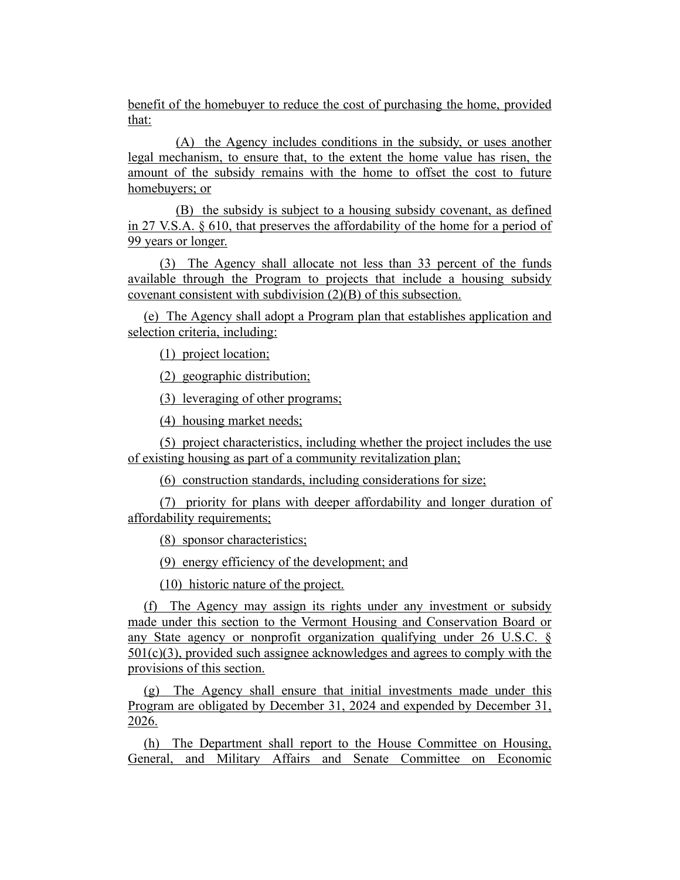benefit of the homebuyer to reduce the cost of purchasing the home, provided that:

(A) the Agency includes conditions in the subsidy, or uses another legal mechanism, to ensure that, to the extent the home value has risen, the amount of the subsidy remains with the home to offset the cost to future homebuyers; or

(B) the subsidy is subject to a housing subsidy covenant, as defined in 27 V.S.A. § 610, that preserves the affordability of the home for a period of 99 years or longer.

(3) The Agency shall allocate not less than 33 percent of the funds available through the Program to projects that include a housing subsidy covenant consistent with subdivision (2)(B) of this subsection.

(e) The Agency shall adopt a Program plan that establishes application and selection criteria, including:

(1) project location;

(2) geographic distribution;

(3) leveraging of other programs;

(4) housing market needs;

(5) project characteristics, including whether the project includes the use of existing housing as part of a community revitalization plan;

(6) construction standards, including considerations for size;

(7) priority for plans with deeper affordability and longer duration of affordability requirements;

(8) sponsor characteristics;

(9) energy efficiency of the development; and

(10) historic nature of the project.

(f) The Agency may assign its rights under any investment or subsidy made under this section to the Vermont Housing and Conservation Board or any State agency or nonprofit organization qualifying under 26 U.S.C. §  $501(c)(3)$ , provided such assignee acknowledges and agrees to comply with the provisions of this section.

(g) The Agency shall ensure that initial investments made under this Program are obligated by December 31, 2024 and expended by December 31, 2026.

(h) The Department shall report to the House Committee on Housing, General, and Military Affairs and Senate Committee on Economic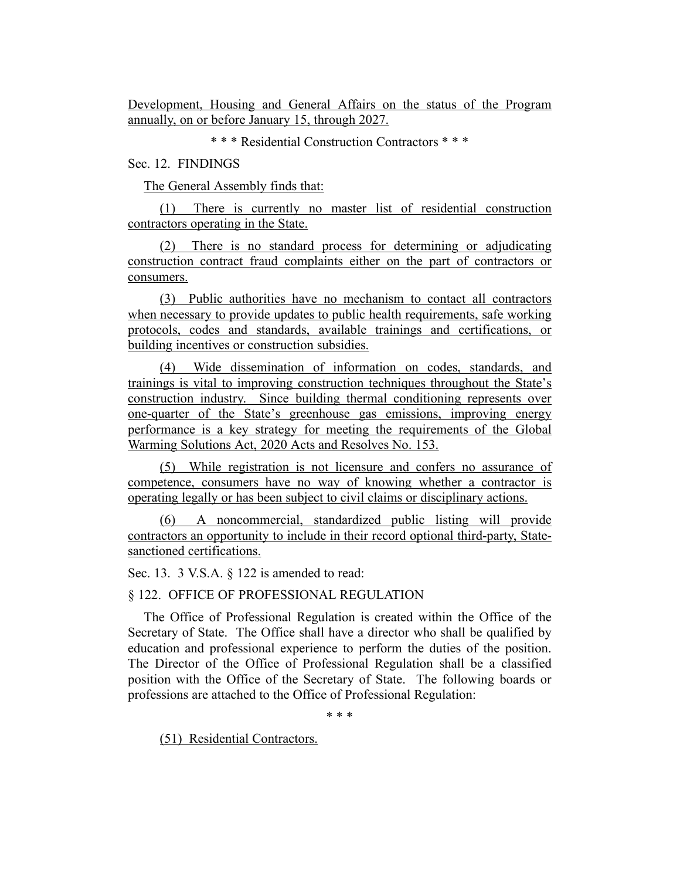Development, Housing and General Affairs on the status of the Program annually, on or before January 15, through 2027.

\* \* \* Residential Construction Contractors \* \* \*

Sec. 12. FINDINGS

The General Assembly finds that:

(1) There is currently no master list of residential construction contractors operating in the State.

(2) There is no standard process for determining or adjudicating construction contract fraud complaints either on the part of contractors or consumers.

(3) Public authorities have no mechanism to contact all contractors when necessary to provide updates to public health requirements, safe working protocols, codes and standards, available trainings and certifications, or building incentives or construction subsidies.

(4) Wide dissemination of information on codes, standards, and trainings is vital to improving construction techniques throughout the State's construction industry. Since building thermal conditioning represents over one-quarter of the State's greenhouse gas emissions, improving energy performance is a key strategy for meeting the requirements of the Global Warming Solutions Act, 2020 Acts and Resolves No. 153.

(5) While registration is not licensure and confers no assurance of competence, consumers have no way of knowing whether a contractor is operating legally or has been subject to civil claims or disciplinary actions.

(6) A noncommercial, standardized public listing will provide contractors an opportunity to include in their record optional third-party, Statesanctioned certifications.

Sec. 13. 3 V.S.A. § 122 is amended to read:

§ 122. OFFICE OF PROFESSIONAL REGULATION

The Office of Professional Regulation is created within the Office of the Secretary of State. The Office shall have a director who shall be qualified by education and professional experience to perform the duties of the position. The Director of the Office of Professional Regulation shall be a classified position with the Office of the Secretary of State. The following boards or professions are attached to the Office of Professional Regulation:

\* \* \*

(51) Residential Contractors.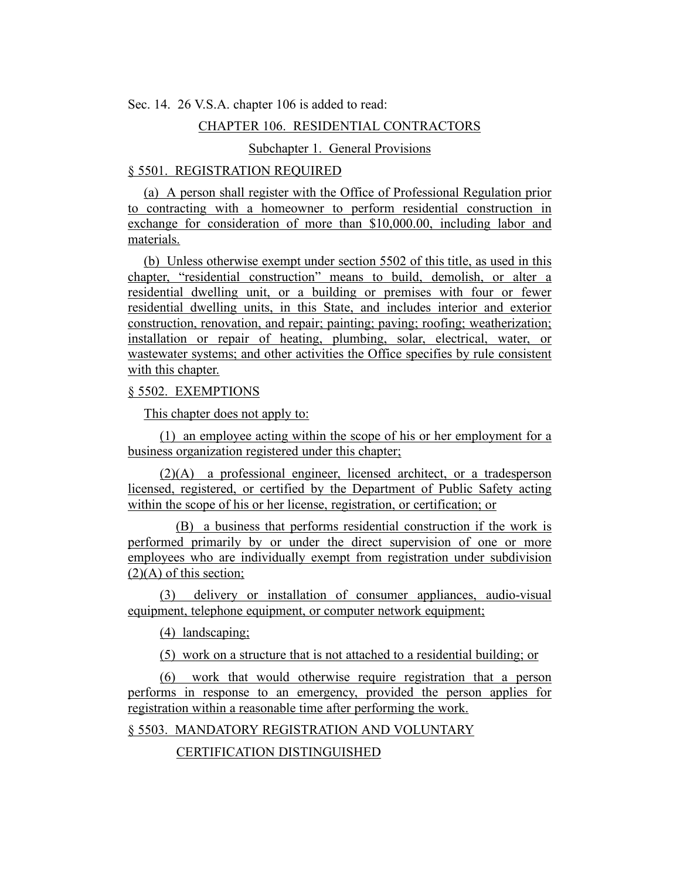Sec. 14. 26 V.S.A. chapter 106 is added to read:

## CHAPTER 106. RESIDENTIAL CONTRACTORS

# Subchapter 1. General Provisions

## § 5501. REGISTRATION REQUIRED

(a) A person shall register with the Office of Professional Regulation prior to contracting with a homeowner to perform residential construction in exchange for consideration of more than \$10,000.00, including labor and materials.

(b) Unless otherwise exempt under section 5502 of this title, as used in this chapter, "residential construction" means to build, demolish, or alter a residential dwelling unit, or a building or premises with four or fewer residential dwelling units, in this State, and includes interior and exterior construction, renovation, and repair; painting; paving; roofing; weatherization; installation or repair of heating, plumbing, solar, electrical, water, or wastewater systems; and other activities the Office specifies by rule consistent with this chapter.

# § 5502. EXEMPTIONS

This chapter does not apply to:

(1) an employee acting within the scope of his or her employment for a business organization registered under this chapter;

(2)(A) a professional engineer, licensed architect, or a tradesperson licensed, registered, or certified by the Department of Public Safety acting within the scope of his or her license, registration, or certification; or

(B) a business that performs residential construction if the work is performed primarily by or under the direct supervision of one or more employees who are individually exempt from registration under subdivision  $(2)(A)$  of this section;

(3) delivery or installation of consumer appliances, audio-visual equipment, telephone equipment, or computer network equipment;

(4) landscaping;

(5) work on a structure that is not attached to a residential building; or

(6) work that would otherwise require registration that a person performs in response to an emergency, provided the person applies for registration within a reasonable time after performing the work.

§ 5503. MANDATORY REGISTRATION AND VOLUNTARY

CERTIFICATION DISTINGUISHED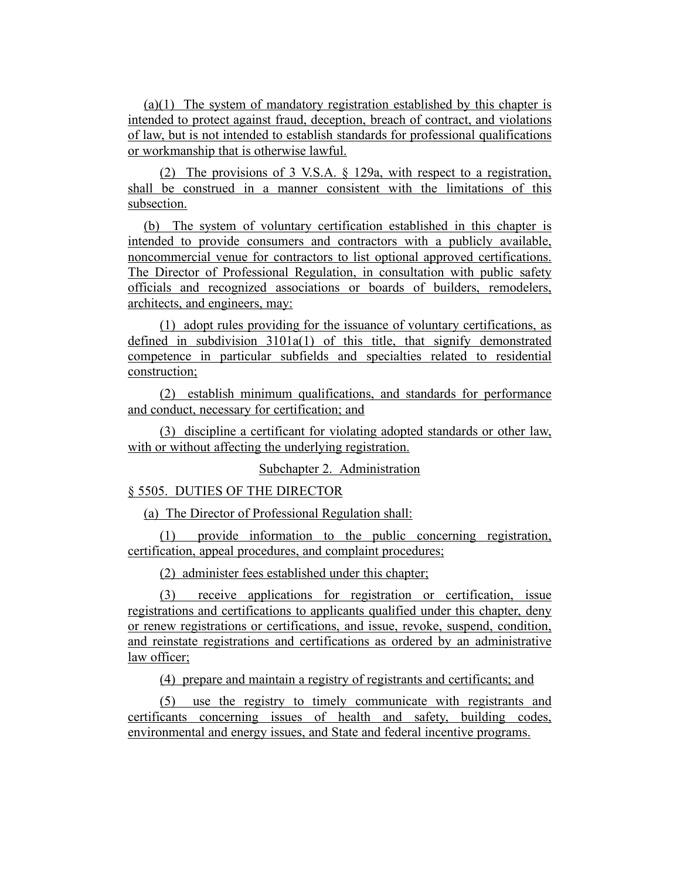(a)(1) The system of mandatory registration established by this chapter is intended to protect against fraud, deception, breach of contract, and violations of law, but is not intended to establish standards for professional qualifications or workmanship that is otherwise lawful.

(2) The provisions of 3 V.S.A. § 129a, with respect to a registration, shall be construed in a manner consistent with the limitations of this subsection.

(b) The system of voluntary certification established in this chapter is intended to provide consumers and contractors with a publicly available, noncommercial venue for contractors to list optional approved certifications. The Director of Professional Regulation, in consultation with public safety officials and recognized associations or boards of builders, remodelers, architects, and engineers, may:

(1) adopt rules providing for the issuance of voluntary certifications, as defined in subdivision 3101a(1) of this title, that signify demonstrated competence in particular subfields and specialties related to residential construction;

(2) establish minimum qualifications, and standards for performance and conduct, necessary for certification; and

(3) discipline a certificant for violating adopted standards or other law, with or without affecting the underlying registration.

## Subchapter 2. Administration

# § 5505. DUTIES OF THE DIRECTOR

(a) The Director of Professional Regulation shall:

(1) provide information to the public concerning registration, certification, appeal procedures, and complaint procedures;

(2) administer fees established under this chapter;

(3) receive applications for registration or certification, issue registrations and certifications to applicants qualified under this chapter, deny or renew registrations or certifications, and issue, revoke, suspend, condition, and reinstate registrations and certifications as ordered by an administrative law officer;

(4) prepare and maintain a registry of registrants and certificants; and

(5) use the registry to timely communicate with registrants and certificants concerning issues of health and safety, building codes, environmental and energy issues, and State and federal incentive programs.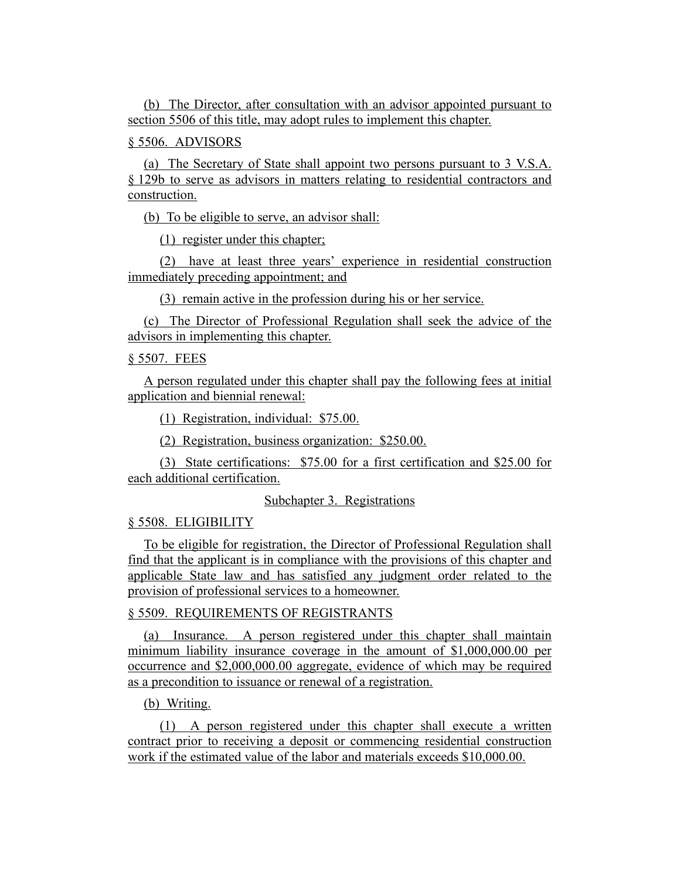(b) The Director, after consultation with an advisor appointed pursuant to section 5506 of this title, may adopt rules to implement this chapter.

§ 5506. ADVISORS

(a) The Secretary of State shall appoint two persons pursuant to 3 V.S.A. § 129b to serve as advisors in matters relating to residential contractors and construction.

(b) To be eligible to serve, an advisor shall:

(1) register under this chapter;

(2) have at least three years' experience in residential construction immediately preceding appointment; and

(3) remain active in the profession during his or her service.

(c) The Director of Professional Regulation shall seek the advice of the advisors in implementing this chapter.

### § 5507. FEES

A person regulated under this chapter shall pay the following fees at initial application and biennial renewal:

(1) Registration, individual: \$75.00.

(2) Registration, business organization: \$250.00.

(3) State certifications: \$75.00 for a first certification and \$25.00 for each additional certification.

#### Subchapter 3. Registrations

#### § 5508. ELIGIBILITY

To be eligible for registration, the Director of Professional Regulation shall find that the applicant is in compliance with the provisions of this chapter and applicable State law and has satisfied any judgment order related to the provision of professional services to a homeowner.

### § 5509. REQUIREMENTS OF REGISTRANTS

(a) Insurance. A person registered under this chapter shall maintain minimum liability insurance coverage in the amount of \$1,000,000.00 per occurrence and \$2,000,000.00 aggregate, evidence of which may be required as a precondition to issuance or renewal of a registration.

## (b) Writing.

(1) A person registered under this chapter shall execute a written contract prior to receiving a deposit or commencing residential construction work if the estimated value of the labor and materials exceeds \$10,000.00.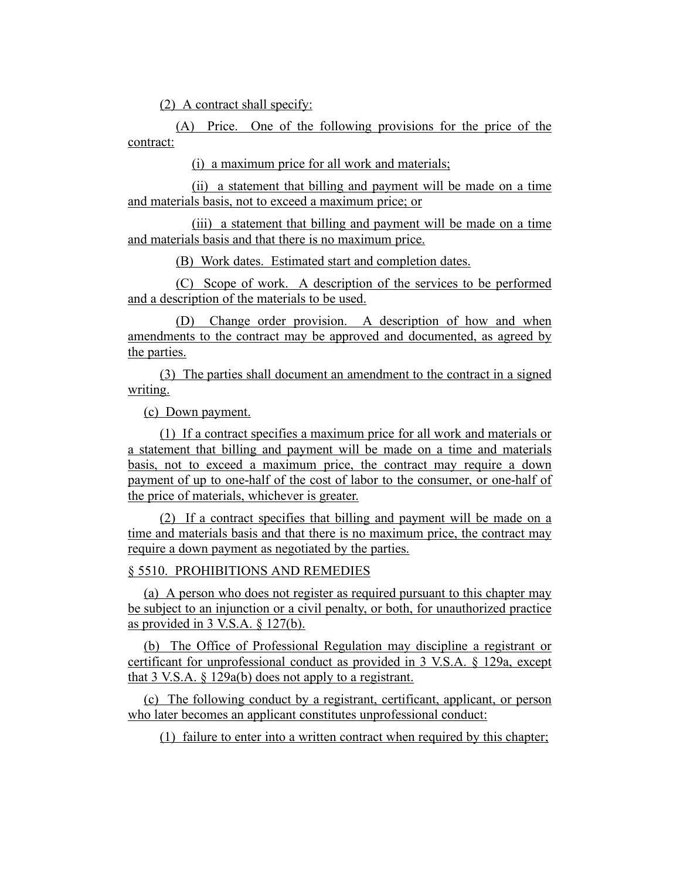(2) A contract shall specify:

(A) Price. One of the following provisions for the price of the contract:

(i) a maximum price for all work and materials;

(ii) a statement that billing and payment will be made on a time and materials basis, not to exceed a maximum price; or

(iii) a statement that billing and payment will be made on a time and materials basis and that there is no maximum price.

(B) Work dates. Estimated start and completion dates.

(C) Scope of work. A description of the services to be performed and a description of the materials to be used.

(D) Change order provision. A description of how and when amendments to the contract may be approved and documented, as agreed by the parties.

(3) The parties shall document an amendment to the contract in a signed writing.

(c) Down payment.

(1) If a contract specifies a maximum price for all work and materials or a statement that billing and payment will be made on a time and materials basis, not to exceed a maximum price, the contract may require a down payment of up to one-half of the cost of labor to the consumer, or one-half of the price of materials, whichever is greater.

(2) If a contract specifies that billing and payment will be made on a time and materials basis and that there is no maximum price, the contract may require a down payment as negotiated by the parties.

# § 5510. PROHIBITIONS AND REMEDIES

(a) A person who does not register as required pursuant to this chapter may be subject to an injunction or a civil penalty, or both, for unauthorized practice as provided in 3 V.S.A. § 127(b).

(b) The Office of Professional Regulation may discipline a registrant or certificant for unprofessional conduct as provided in 3 V.S.A. § 129a, except that 3 V.S.A.  $\S$  129a(b) does not apply to a registrant.

(c) The following conduct by a registrant, certificant, applicant, or person who later becomes an applicant constitutes unprofessional conduct:

(1) failure to enter into a written contract when required by this chapter;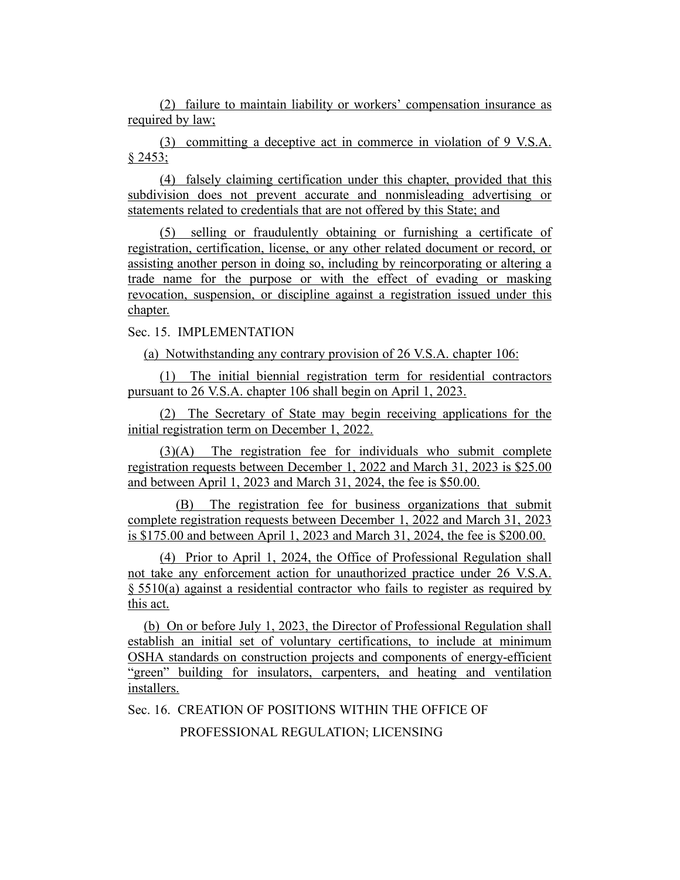(2) failure to maintain liability or workers' compensation insurance as required by law;

(3) committing a deceptive act in commerce in violation of 9 V.S.A. § 2453;

(4) falsely claiming certification under this chapter, provided that this subdivision does not prevent accurate and nonmisleading advertising or statements related to credentials that are not offered by this State; and

(5) selling or fraudulently obtaining or furnishing a certificate of registration, certification, license, or any other related document or record, or assisting another person in doing so, including by reincorporating or altering a trade name for the purpose or with the effect of evading or masking revocation, suspension, or discipline against a registration issued under this chapter.

# Sec. 15. IMPLEMENTATION

(a) Notwithstanding any contrary provision of 26 V.S.A. chapter 106:

(1) The initial biennial registration term for residential contractors pursuant to 26 V.S.A. chapter 106 shall begin on April 1, 2023.

(2) The Secretary of State may begin receiving applications for the initial registration term on December 1, 2022.

(3)(A) The registration fee for individuals who submit complete registration requests between December 1, 2022 and March 31, 2023 is \$25.00 and between April 1, 2023 and March 31, 2024, the fee is \$50.00.

(B) The registration fee for business organizations that submit complete registration requests between December 1, 2022 and March 31, 2023 is \$175.00 and between April 1, 2023 and March 31, 2024, the fee is \$200.00.

(4) Prior to April 1, 2024, the Office of Professional Regulation shall not take any enforcement action for unauthorized practice under 26 V.S.A. § 5510(a) against a residential contractor who fails to register as required by this act.

(b) On or before July 1, 2023, the Director of Professional Regulation shall establish an initial set of voluntary certifications, to include at minimum OSHA standards on construction projects and components of energy-efficient "green" building for insulators, carpenters, and heating and ventilation installers.

Sec. 16. CREATION OF POSITIONS WITHIN THE OFFICE OF

PROFESSIONAL REGULATION; LICENSING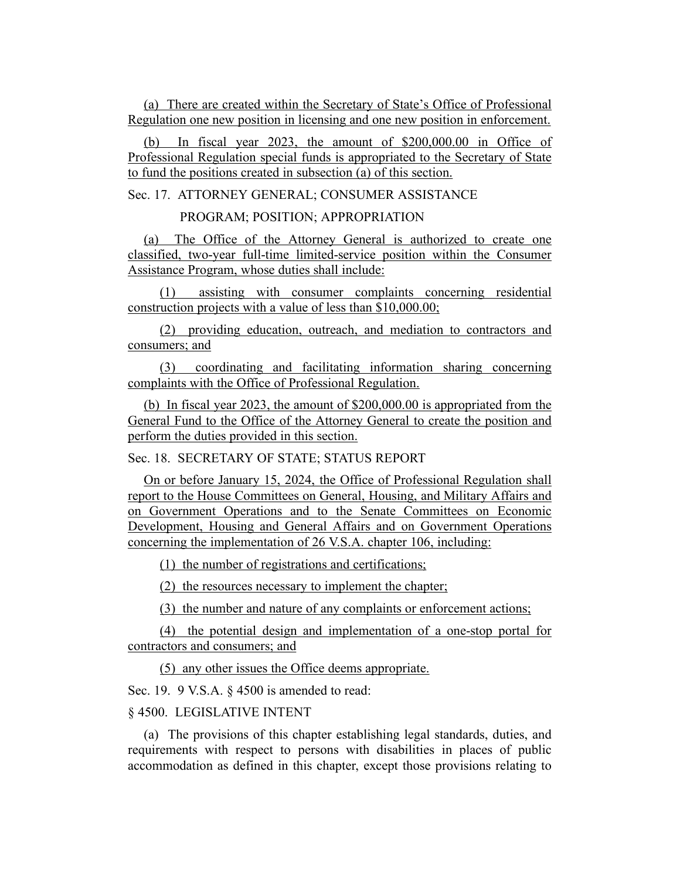(a) There are created within the Secretary of State's Office of Professional Regulation one new position in licensing and one new position in enforcement.

(b) In fiscal year 2023, the amount of \$200,000.00 in Office of Professional Regulation special funds is appropriated to the Secretary of State to fund the positions created in subsection (a) of this section.

Sec. 17. ATTORNEY GENERAL; CONSUMER ASSISTANCE

PROGRAM; POSITION; APPROPRIATION

(a) The Office of the Attorney General is authorized to create one classified, two-year full-time limited-service position within the Consumer Assistance Program, whose duties shall include:

(1) assisting with consumer complaints concerning residential construction projects with a value of less than \$10,000.00;

(2) providing education, outreach, and mediation to contractors and consumers; and

(3) coordinating and facilitating information sharing concerning complaints with the Office of Professional Regulation.

(b) In fiscal year 2023, the amount of \$200,000.00 is appropriated from the General Fund to the Office of the Attorney General to create the position and perform the duties provided in this section.

Sec. 18. SECRETARY OF STATE; STATUS REPORT

On or before January 15, 2024, the Office of Professional Regulation shall report to the House Committees on General, Housing, and Military Affairs and on Government Operations and to the Senate Committees on Economic Development, Housing and General Affairs and on Government Operations concerning the implementation of 26 V.S.A. chapter 106, including:

(1) the number of registrations and certifications;

(2) the resources necessary to implement the chapter;

(3) the number and nature of any complaints or enforcement actions;

(4) the potential design and implementation of a one-stop portal for contractors and consumers; and

(5) any other issues the Office deems appropriate.

Sec. 19. 9 V.S.A. § 4500 is amended to read:

## § 4500. LEGISLATIVE INTENT

(a) The provisions of this chapter establishing legal standards, duties, and requirements with respect to persons with disabilities in places of public accommodation as defined in this chapter, except those provisions relating to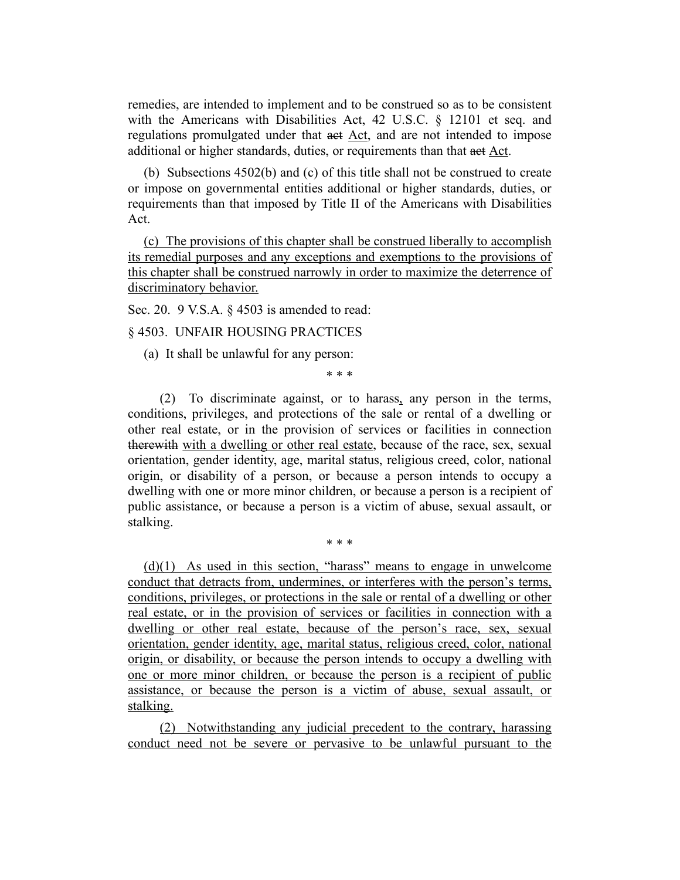remedies, are intended to implement and to be construed so as to be consistent with the Americans with Disabilities Act, 42 U.S.C. § 12101 et seq. and regulations promulgated under that act Act, and are not intended to impose additional or higher standards, duties, or requirements than that act Act.

(b) Subsections 4502(b) and (c) of this title shall not be construed to create or impose on governmental entities additional or higher standards, duties, or requirements than that imposed by Title II of the Americans with Disabilities Act.

(c) The provisions of this chapter shall be construed liberally to accomplish its remedial purposes and any exceptions and exemptions to the provisions of this chapter shall be construed narrowly in order to maximize the deterrence of discriminatory behavior.

Sec. 20. 9 V.S.A. § 4503 is amended to read:

# § 4503. UNFAIR HOUSING PRACTICES

(a) It shall be unlawful for any person:

\* \* \*

(2) To discriminate against, or to harass, any person in the terms, conditions, privileges, and protections of the sale or rental of a dwelling or other real estate, or in the provision of services or facilities in connection therewith with a dwelling or other real estate, because of the race, sex, sexual orientation, gender identity, age, marital status, religious creed, color, national origin, or disability of a person, or because a person intends to occupy a dwelling with one or more minor children, or because a person is a recipient of public assistance, or because a person is a victim of abuse, sexual assault, or stalking.

\* \* \*

 $(d)(1)$  As used in this section, "harass" means to engage in unwelcome conduct that detracts from, undermines, or interferes with the person's terms, conditions, privileges, or protections in the sale or rental of a dwelling or other real estate, or in the provision of services or facilities in connection with a dwelling or other real estate, because of the person's race, sex, sexual orientation, gender identity, age, marital status, religious creed, color, national origin, or disability, or because the person intends to occupy a dwelling with one or more minor children, or because the person is a recipient of public assistance, or because the person is a victim of abuse, sexual assault, or stalking.

(2) Notwithstanding any judicial precedent to the contrary, harassing conduct need not be severe or pervasive to be unlawful pursuant to the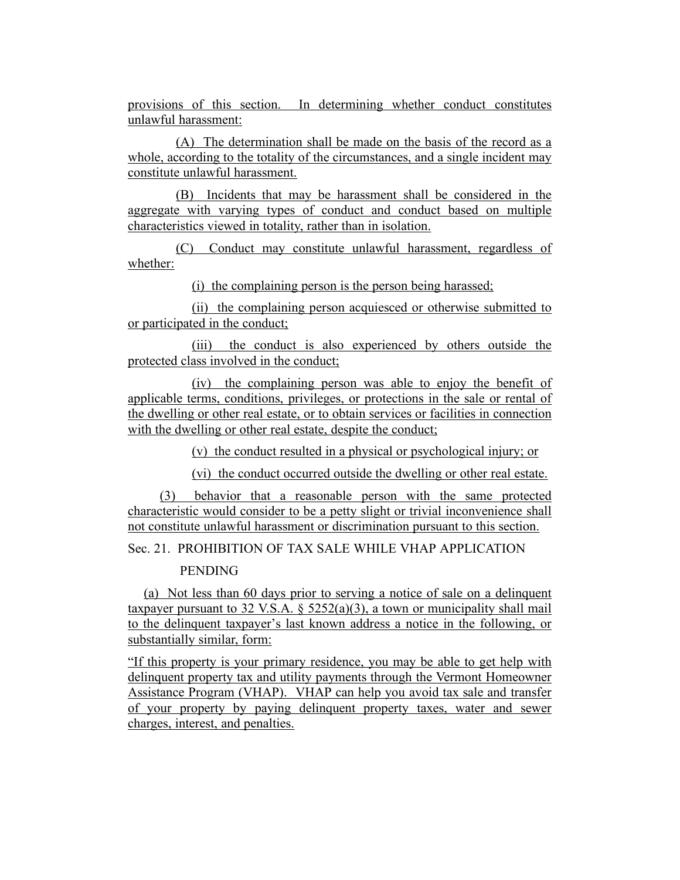provisions of this section. In determining whether conduct constitutes unlawful harassment:

(A) The determination shall be made on the basis of the record as a whole, according to the totality of the circumstances, and a single incident may constitute unlawful harassment.

(B) Incidents that may be harassment shall be considered in the aggregate with varying types of conduct and conduct based on multiple characteristics viewed in totality, rather than in isolation.

(C) Conduct may constitute unlawful harassment, regardless of whether:

(i) the complaining person is the person being harassed;

(ii) the complaining person acquiesced or otherwise submitted to or participated in the conduct;

(iii) the conduct is also experienced by others outside the protected class involved in the conduct;

(iv) the complaining person was able to enjoy the benefit of applicable terms, conditions, privileges, or protections in the sale or rental of the dwelling or other real estate, or to obtain services or facilities in connection with the dwelling or other real estate, despite the conduct;

(v) the conduct resulted in a physical or psychological injury; or

(vi) the conduct occurred outside the dwelling or other real estate.

(3) behavior that a reasonable person with the same protected characteristic would consider to be a petty slight or trivial inconvenience shall not constitute unlawful harassment or discrimination pursuant to this section.

Sec. 21. PROHIBITION OF TAX SALE WHILE VHAP APPLICATION

# PENDING

(a) Not less than 60 days prior to serving a notice of sale on a delinquent taxpayer pursuant to 32 V.S.A.  $\S$  5252(a)(3), a town or municipality shall mail to the delinquent taxpayer's last known address a notice in the following, or substantially similar, form:

"If this property is your primary residence, you may be able to get help with delinquent property tax and utility payments through the Vermont Homeowner Assistance Program (VHAP). VHAP can help you avoid tax sale and transfer of your property by paying delinquent property taxes, water and sewer charges, interest, and penalties.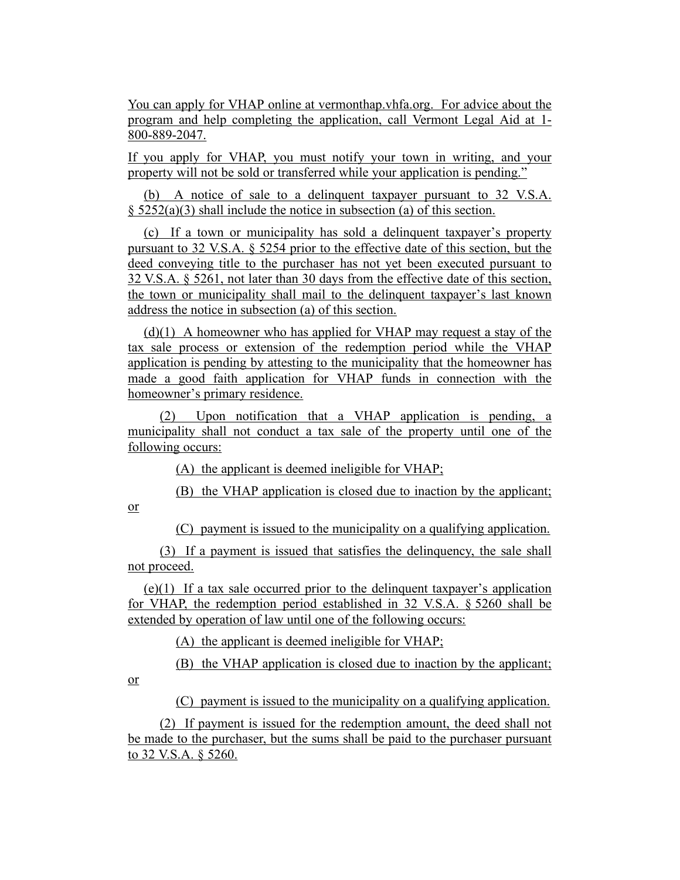You can apply for VHAP online at vermonthap.vhfa.org. For advice about the program and help completing the application, call Vermont Legal Aid at 1- 800-889-2047.

If you apply for VHAP, you must notify your town in writing, and your property will not be sold or transferred while your application is pending."

(b) A notice of sale to a delinquent taxpayer pursuant to 32 V.S.A. § 5252(a)(3) shall include the notice in subsection (a) of this section.

(c) If a town or municipality has sold a delinquent taxpayer's property pursuant to 32 V.S.A. § 5254 prior to the effective date of this section, but the deed conveying title to the purchaser has not yet been executed pursuant to 32 V.S.A. § 5261, not later than 30 days from the effective date of this section, the town or municipality shall mail to the delinquent taxpayer's last known address the notice in subsection (a) of this section.

 $(d)(1)$  A homeowner who has applied for VHAP may request a stay of the tax sale process or extension of the redemption period while the VHAP application is pending by attesting to the municipality that the homeowner has made a good faith application for VHAP funds in connection with the homeowner's primary residence.

(2) Upon notification that a VHAP application is pending, a municipality shall not conduct a tax sale of the property until one of the following occurs:

(A) the applicant is deemed ineligible for VHAP;

(B) the VHAP application is closed due to inaction by the applicant;

(C) payment is issued to the municipality on a qualifying application.

(3) If a payment is issued that satisfies the delinquency, the sale shall not proceed.

(e)(1) If a tax sale occurred prior to the delinquent taxpayer's application for VHAP, the redemption period established in 32 V.S.A. § 5260 shall be extended by operation of law until one of the following occurs:

(A) the applicant is deemed ineligible for VHAP;

(B) the VHAP application is closed due to inaction by the applicant;

or

or

(C) payment is issued to the municipality on a qualifying application.

(2) If payment is issued for the redemption amount, the deed shall not be made to the purchaser, but the sums shall be paid to the purchaser pursuant to 32 V.S.A. § 5260.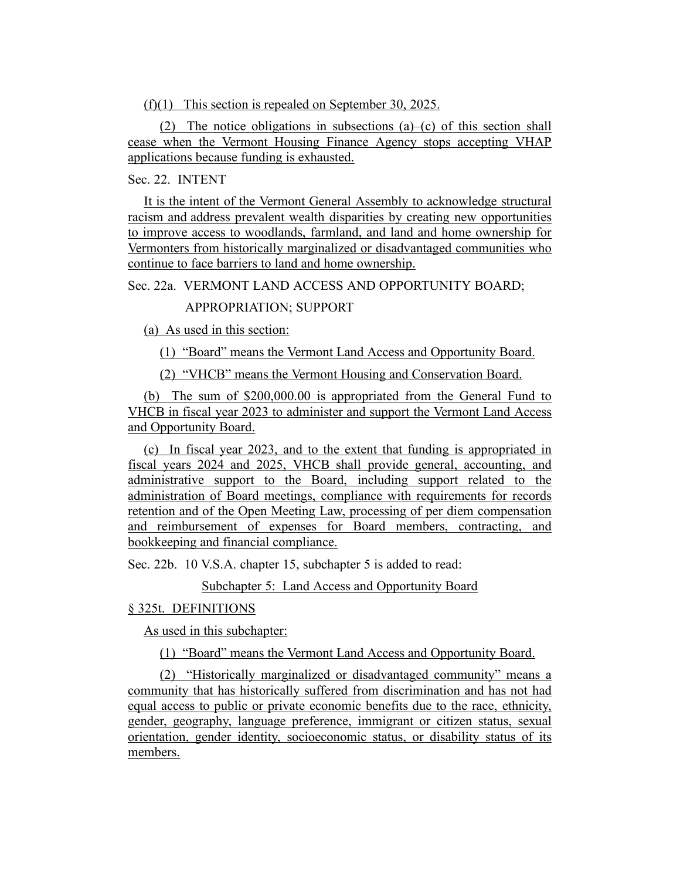(f)(1) This section is repealed on September 30, 2025.

(2) The notice obligations in subsections  $(a)$ –(c) of this section shall cease when the Vermont Housing Finance Agency stops accepting VHAP applications because funding is exhausted.

# Sec. 22. INTENT

It is the intent of the Vermont General Assembly to acknowledge structural racism and address prevalent wealth disparities by creating new opportunities to improve access to woodlands, farmland, and land and home ownership for Vermonters from historically marginalized or disadvantaged communities who continue to face barriers to land and home ownership.

Sec. 22a. VERMONT LAND ACCESS AND OPPORTUNITY BOARD;

# APPROPRIATION; SUPPORT

(a) As used in this section:

(1) "Board" means the Vermont Land Access and Opportunity Board.

(2) "VHCB" means the Vermont Housing and Conservation Board.

(b) The sum of \$200,000.00 is appropriated from the General Fund to VHCB in fiscal year 2023 to administer and support the Vermont Land Access and Opportunity Board.

(c) In fiscal year 2023, and to the extent that funding is appropriated in fiscal years 2024 and 2025, VHCB shall provide general, accounting, and administrative support to the Board, including support related to the administration of Board meetings, compliance with requirements for records retention and of the Open Meeting Law, processing of per diem compensation and reimbursement of expenses for Board members, contracting, and bookkeeping and financial compliance.

Sec. 22b. 10 V.S.A. chapter 15, subchapter 5 is added to read:

Subchapter 5: Land Access and Opportunity Board

## § 325t. DEFINITIONS

As used in this subchapter:

(1) "Board" means the Vermont Land Access and Opportunity Board.

(2) "Historically marginalized or disadvantaged community" means a community that has historically suffered from discrimination and has not had equal access to public or private economic benefits due to the race, ethnicity, gender, geography, language preference, immigrant or citizen status, sexual orientation, gender identity, socioeconomic status, or disability status of its members.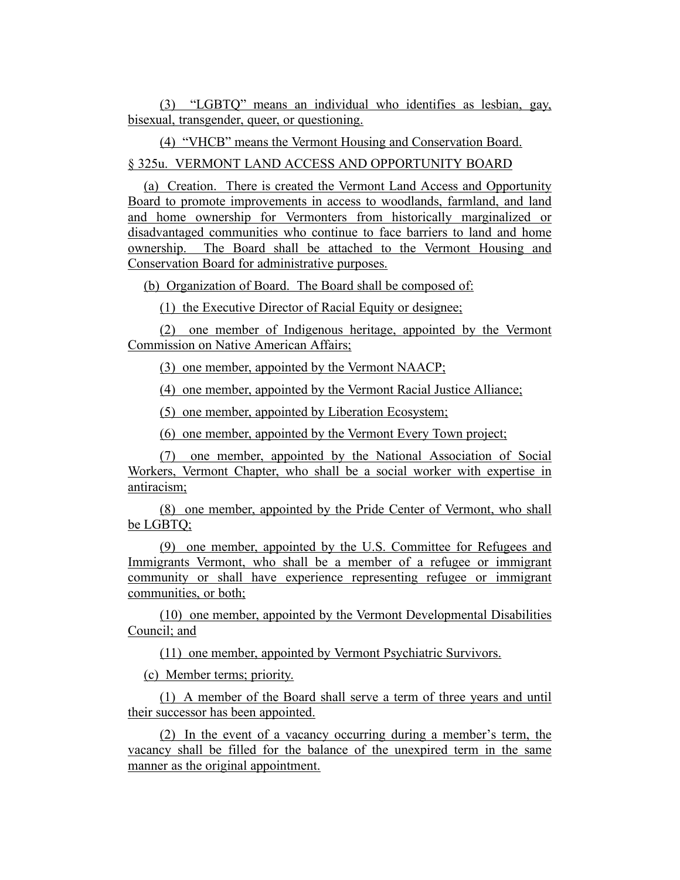(3) "LGBTQ" means an individual who identifies as lesbian, gay, bisexual, transgender, queer, or questioning.

(4) "VHCB" means the Vermont Housing and Conservation Board.

# § 325u. VERMONT LAND ACCESS AND OPPORTUNITY BOARD

(a) Creation. There is created the Vermont Land Access and Opportunity Board to promote improvements in access to woodlands, farmland, and land and home ownership for Vermonters from historically marginalized or disadvantaged communities who continue to face barriers to land and home ownership. The Board shall be attached to the Vermont Housing and Conservation Board for administrative purposes.

(b) Organization of Board. The Board shall be composed of:

(1) the Executive Director of Racial Equity or designee;

(2) one member of Indigenous heritage, appointed by the Vermont Commission on Native American Affairs;

(3) one member, appointed by the Vermont NAACP;

(4) one member, appointed by the Vermont Racial Justice Alliance;

(5) one member, appointed by Liberation Ecosystem;

(6) one member, appointed by the Vermont Every Town project;

(7) one member, appointed by the National Association of Social Workers, Vermont Chapter, who shall be a social worker with expertise in antiracism;

(8) one member, appointed by the Pride Center of Vermont, who shall be LGBTQ;

(9) one member, appointed by the U.S. Committee for Refugees and Immigrants Vermont, who shall be a member of a refugee or immigrant community or shall have experience representing refugee or immigrant communities, or both;

(10) one member, appointed by the Vermont Developmental Disabilities Council; and

(11) one member, appointed by Vermont Psychiatric Survivors.

(c) Member terms; priority.

(1) A member of the Board shall serve a term of three years and until their successor has been appointed.

(2) In the event of a vacancy occurring during a member's term, the vacancy shall be filled for the balance of the unexpired term in the same manner as the original appointment.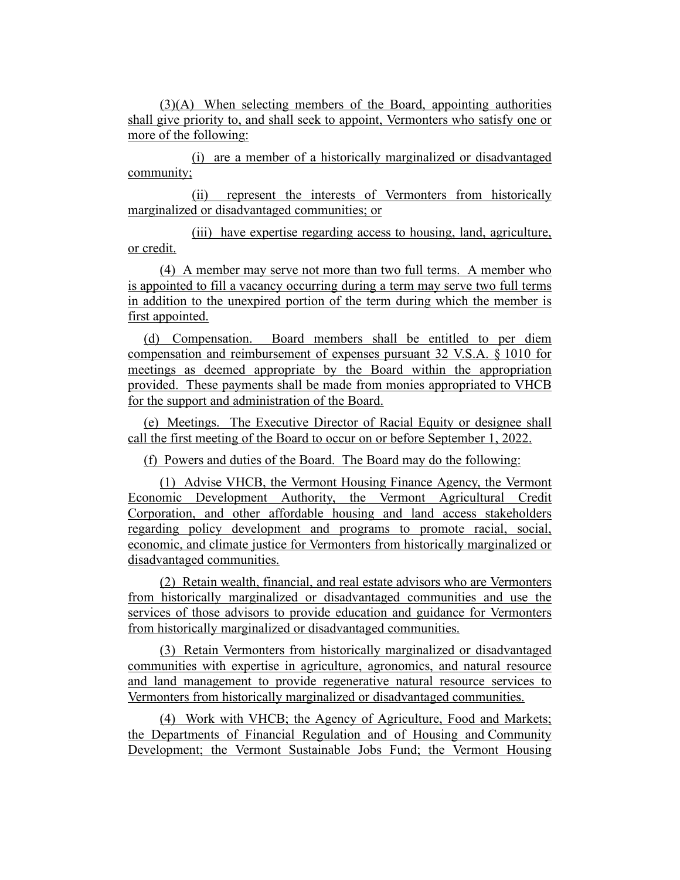(3)(A) When selecting members of the Board, appointing authorities shall give priority to, and shall seek to appoint, Vermonters who satisfy one or more of the following:

(i) are a member of a historically marginalized or disadvantaged community;

(ii) represent the interests of Vermonters from historically marginalized or disadvantaged communities; or

(iii) have expertise regarding access to housing, land, agriculture, or credit.

(4) A member may serve not more than two full terms. A member who is appointed to fill a vacancy occurring during a term may serve two full terms in addition to the unexpired portion of the term during which the member is first appointed.

(d) Compensation. Board members shall be entitled to per diem compensation and reimbursement of expenses pursuant 32 V.S.A. § 1010 for meetings as deemed appropriate by the Board within the appropriation provided. These payments shall be made from monies appropriated to VHCB for the support and administration of the Board.

(e) Meetings. The Executive Director of Racial Equity or designee shall call the first meeting of the Board to occur on or before September 1, 2022.

(f) Powers and duties of the Board. The Board may do the following:

(1) Advise VHCB, the Vermont Housing Finance Agency, the Vermont Economic Development Authority, the Vermont Agricultural Credit Corporation, and other affordable housing and land access stakeholders regarding policy development and programs to promote racial, social, economic, and climate justice for Vermonters from historically marginalized or disadvantaged communities.

(2) Retain wealth, financial, and real estate advisors who are Vermonters from historically marginalized or disadvantaged communities and use the services of those advisors to provide education and guidance for Vermonters from historically marginalized or disadvantaged communities.

(3) Retain Vermonters from historically marginalized or disadvantaged communities with expertise in agriculture, agronomics, and natural resource and land management to provide regenerative natural resource services to Vermonters from historically marginalized or disadvantaged communities.

(4) Work with VHCB; the Agency of Agriculture, Food and Markets; the Departments of Financial Regulation and of Housing and Community Development; the Vermont Sustainable Jobs Fund; the Vermont Housing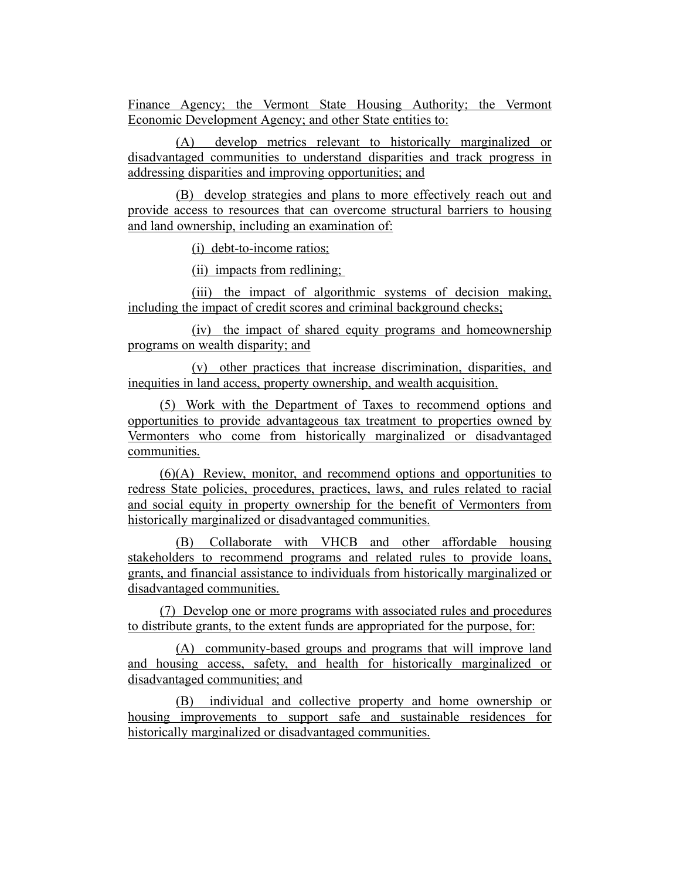Finance Agency; the Vermont State Housing Authority; the Vermont Economic Development Agency; and other State entities to:

(A) develop metrics relevant to historically marginalized or disadvantaged communities to understand disparities and track progress in addressing disparities and improving opportunities; and

(B) develop strategies and plans to more effectively reach out and provide access to resources that can overcome structural barriers to housing and land ownership, including an examination of:

(i) debt-to-income ratios;

(ii) impacts from redlining;

(iii) the impact of algorithmic systems of decision making, including the impact of credit scores and criminal background checks;

(iv) the impact of shared equity programs and homeownership programs on wealth disparity; and

(v) other practices that increase discrimination, disparities, and inequities in land access, property ownership, and wealth acquisition.

(5) Work with the Department of Taxes to recommend options and opportunities to provide advantageous tax treatment to properties owned by Vermonters who come from historically marginalized or disadvantaged communities.

(6)(A) Review, monitor, and recommend options and opportunities to redress State policies, procedures, practices, laws, and rules related to racial and social equity in property ownership for the benefit of Vermonters from historically marginalized or disadvantaged communities.

(B) Collaborate with VHCB and other affordable housing stakeholders to recommend programs and related rules to provide loans, grants, and financial assistance to individuals from historically marginalized or disadvantaged communities.

(7) Develop one or more programs with associated rules and procedures to distribute grants, to the extent funds are appropriated for the purpose, for:

(A) community-based groups and programs that will improve land and housing access, safety, and health for historically marginalized or disadvantaged communities; and

(B) individual and collective property and home ownership or housing improvements to support safe and sustainable residences for historically marginalized or disadvantaged communities.